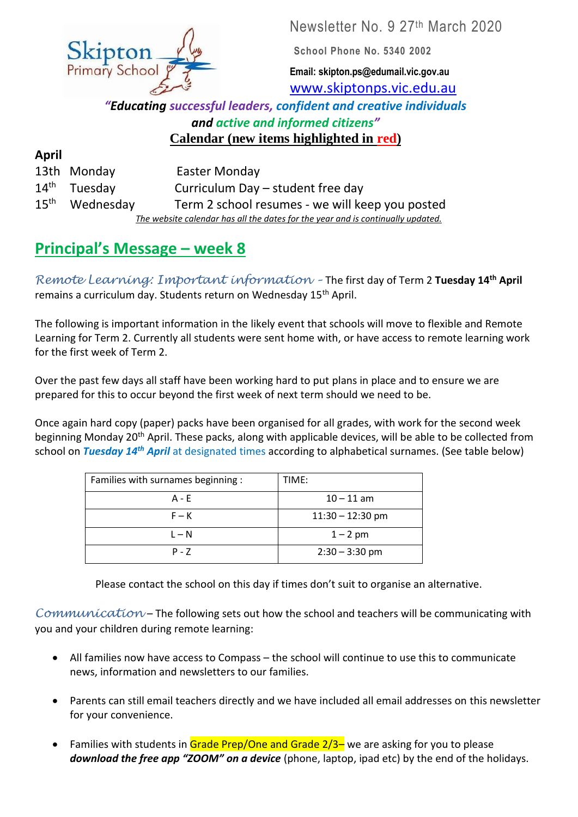Newsletter No. 9 27<sup>th</sup> March 2020

**School Phone No. 5340 2002**

**Email: skipton.ps@edumail.vic.gov.au** [www.skiptonps.vic.edu.au](http://www.skiptonps.vic.edu.au/)

*"Educating successful leaders, confident and creative individuals and active and informed citizens"* **Calendar (new items highlighted in red)**

| April            |                |                                                                                 |
|------------------|----------------|---------------------------------------------------------------------------------|
|                  | 13th Monday    | Easter Monday                                                                   |
|                  | $14th$ Tuesday | Curriculum Day – student free day                                               |
| $15^{\text{th}}$ | Wednesday      | Term 2 school resumes - we will keep you posted                                 |
|                  |                | The website calendar has all the dates for the year and is continually updated. |

# **Principal's Message – week 8**

*Remote Learning: Important information –* The first day of Term 2 **Tuesday 14th April** remains a curriculum day. Students return on Wednesday 15<sup>th</sup> April.

The following is important information in the likely event that schools will move to flexible and Remote Learning for Term 2. Currently all students were sent home with, or have access to remote learning work for the first week of Term 2.

Over the past few days all staff have been working hard to put plans in place and to ensure we are prepared for this to occur beyond the first week of next term should we need to be.

Once again hard copy (paper) packs have been organised for all grades, with work for the second week beginning Monday 20<sup>th</sup> April. These packs, along with applicable devices, will be able to be collected from school on *Tuesday 14th April* at designated times according to alphabetical surnames. (See table below)

| Families with surnames beginning : | TIME:              |
|------------------------------------|--------------------|
| $A - E$                            | $10 - 11$ am       |
| $F - K$                            | $11:30 - 12:30$ pm |
| $L - N$                            | $1 - 2$ pm         |
| $P - 7$                            | $2:30 - 3:30$ pm   |

Please contact the school on this day if times don't suit to organise an alternative.

*Communication* – The following sets out how the school and teachers will be communicating with you and your children during remote learning:

- All families now have access to Compass the school will continue to use this to communicate news, information and newsletters to our families.
- Parents can still email teachers directly and we have included all email addresses on this newsletter for your convenience.
- **•** Families with students in  $G$ rade Prep/One and  $G$ rade  $2/3$  we are asking for you to please *download the free app "ZOOM" on a device* (phone, laptop, ipad etc) by the end of the holidays.



**April**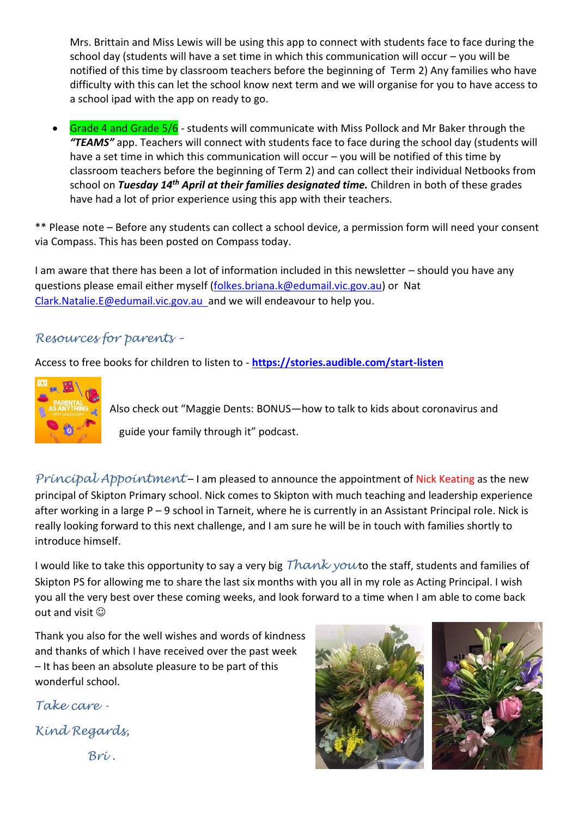Mrs. Brittain and Miss Lewis will be using this app to connect with students face to face during the school day (students will have a set time in which this communication will occur – you will be notified of this time by classroom teachers before the beginning of Term 2) Any families who have difficulty with this can let the school know next term and we will organise for you to have access to a school ipad with the app on ready to go.

 Grade 4 and Grade 5/6 - students will communicate with Miss Pollock and Mr Baker through the *"TEAMS"* app. Teachers will connect with students face to face during the school day (students will have a set time in which this communication will occur – you will be notified of this time by classroom teachers before the beginning of Term 2) and can collect their individual Netbooks from school on *Tuesday 14th April at their families designated time.* Children in both of these grades have had a lot of prior experience using this app with their teachers.

\*\* Please note – Before any students can collect a school device, a permission form will need your consent via Compass. This has been posted on Compass today.

I am aware that there has been a lot of information included in this newsletter – should you have any questions please email either myself [\(folkes.briana.k@edumail.vic.gov.au\)](mailto:folkes.briana.k@edumail.vic.gov.au) or Nat [Clark.Natalie.E@edumail.vic.gov.au](mailto:Clark.Natalie.E@edumail.vic.gov.au) and we will endeavour to help you.

## *Resources for parents –*

Access to free books for children to listen to - **<https://stories.audible.com/start-listen>**



Also check out "Maggie Dents: BONUS—how to talk to kids about coronavirus and guide your family through it" podcast.

*Principal Appointment* – I am pleased to announce the appointment of Nick Keating as the new principal of Skipton Primary school. Nick comes to Skipton with much teaching and leadership experience after working in a large P – 9 school in Tarneit, where he is currently in an Assistant Principal role. Nick is really looking forward to this next challenge, and I am sure he will be in touch with families shortly to introduce himself.

I would like to take this opportunity to say a very big *Thank yout* the staff, students and families of Skipton PS for allowing me to share the last six months with you all in my role as Acting Principal. I wish you all the very best over these coming weeks, and look forward to a time when I am able to come back out and visit  $\odot$ 

Thank you also for the well wishes and words of kindness and thanks of which I have received over the past week – It has been an absolute pleasure to be part of this wonderful school.

*Take care - Kind Regards,*

*Bri .*

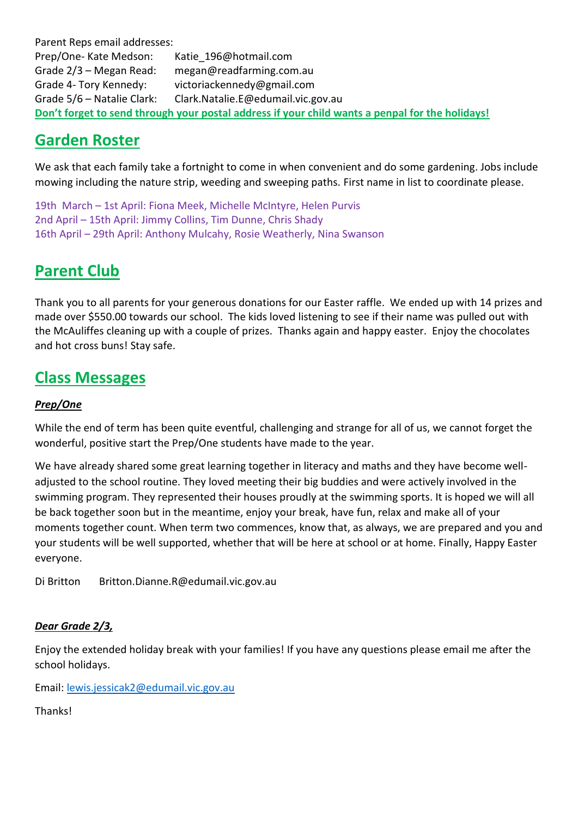Parent Reps email addresses: Prep/One- Kate Medson: Katie\_196@hotmail.com Grade 2/3 – Megan Read: megan@readfarming.com.au Grade 4- Tory Kennedy: victoriackennedy@gmail.com Grade 5/6 – Natalie Clark: Clark.Natalie.E@edumail.vic.gov.au **Don't forget to send through your postal address if your child wants a penpal for the holidays!**

# **Garden Roster**

We ask that each family take a fortnight to come in when convenient and do some gardening. Jobs include mowing including the nature strip, weeding and sweeping paths. First name in list to coordinate please.

19th March – 1st April: Fiona Meek, Michelle McIntyre, Helen Purvis 2nd April – 15th April: Jimmy Collins, Tim Dunne, Chris Shady 16th April – 29th April: Anthony Mulcahy, Rosie Weatherly, Nina Swanson

# **Parent Club**

Thank you to all parents for your generous donations for our Easter raffle. We ended up with 14 prizes and made over \$550.00 towards our school. The kids loved listening to see if their name was pulled out with the McAuliffes cleaning up with a couple of prizes. Thanks again and happy easter. Enjoy the chocolates and hot cross buns! Stay safe.

## **Class Messages**

## *Prep/One*

While the end of term has been quite eventful, challenging and strange for all of us, we cannot forget the wonderful, positive start the Prep/One students have made to the year.

We have already shared some great learning together in literacy and maths and they have become welladjusted to the school routine. They loved meeting their big buddies and were actively involved in the swimming program. They represented their houses proudly at the swimming sports. It is hoped we will all be back together soon but in the meantime, enjoy your break, have fun, relax and make all of your moments together count. When term two commences, know that, as always, we are prepared and you and your students will be well supported, whether that will be here at school or at home. Finally, Happy Easter everyone.

Di Britton Britton.Dianne.R@edumail.vic.gov.au

## *Dear Grade 2/3,*

Enjoy the extended holiday break with your families! If you have any questions please email me after the school holidays.

Email: [lewis.jessicak2@edumail.vic.gov.au](mailto:lewis.jessicak2@edumail.vic.gov.au)

Thanks!